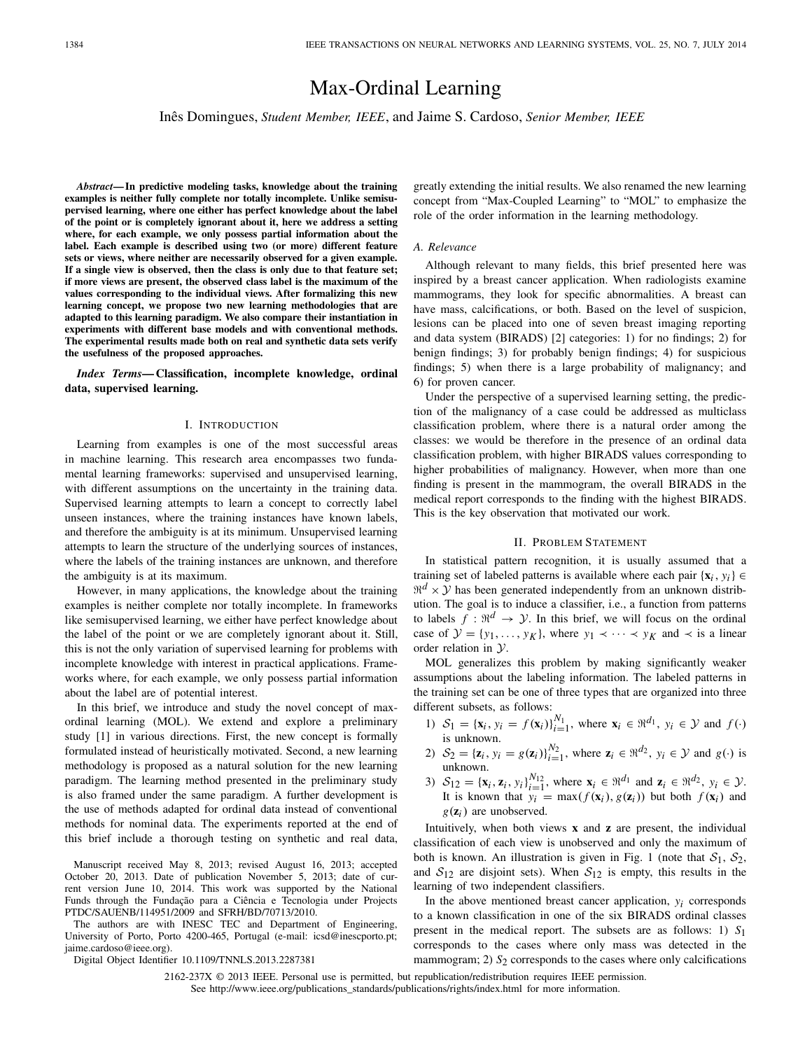# Max-Ordinal Learning

Inês Domingues, *Student Member, IEEE*, and Jaime S. Cardoso, *Senior Member, IEEE*

*Abstract***— In predictive modeling tasks, knowledge about the training examples is neither fully complete nor totally incomplete. Unlike semisupervised learning, where one either has perfect knowledge about the label of the point or is completely ignorant about it, here we address a setting where, for each example, we only possess partial information about the label. Each example is described using two (or more) different feature sets or views, where neither are necessarily observed for a given example. If a single view is observed, then the class is only due to that feature set; if more views are present, the observed class label is the maximum of the values corresponding to the individual views. After formalizing this new learning concept, we propose two new learning methodologies that are adapted to this learning paradigm. We also compare their instantiation in experiments with different base models and with conventional methods. The experimental results made both on real and synthetic data sets verify the usefulness of the proposed approaches.**

*Index Terms***— Classification, incomplete knowledge, ordinal data, supervised learning.**

#### I. INTRODUCTION

Learning from examples is one of the most successful areas in machine learning. This research area encompasses two fundamental learning frameworks: supervised and unsupervised learning, with different assumptions on the uncertainty in the training data. Supervised learning attempts to learn a concept to correctly label unseen instances, where the training instances have known labels, and therefore the ambiguity is at its minimum. Unsupervised learning attempts to learn the structure of the underlying sources of instances, where the labels of the training instances are unknown, and therefore the ambiguity is at its maximum.

However, in many applications, the knowledge about the training examples is neither complete nor totally incomplete. In frameworks like semisupervised learning, we either have perfect knowledge about the label of the point or we are completely ignorant about it. Still, this is not the only variation of supervised learning for problems with incomplete knowledge with interest in practical applications. Frameworks where, for each example, we only possess partial information about the label are of potential interest.

In this brief, we introduce and study the novel concept of maxordinal learning (MOL). We extend and explore a preliminary study [1] in various directions. First, the new concept is formally formulated instead of heuristically motivated. Second, a new learning methodology is proposed as a natural solution for the new learning paradigm. The learning method presented in the preliminary study is also framed under the same paradigm. A further development is the use of methods adapted for ordinal data instead of conventional methods for nominal data. The experiments reported at the end of this brief include a thorough testing on synthetic and real data,

Manuscript received May 8, 2013; revised August 16, 2013; accepted October 20, 2013. Date of publication November 5, 2013; date of current version June 10, 2014. This work was supported by the National Funds through the Fundação para a Ciência e Tecnologia under Projects PTDC/SAUENB/114951/2009 and SFRH/BD/70713/2010.

The authors are with INESC TEC and Department of Engineering, University of Porto, Porto 4200-465, Portugal (e-mail: icsd@inescporto.pt; jaime.cardoso@ieee.org).

Digital Object Identifier 10.1109/TNNLS.2013.2287381

greatly extending the initial results. We also renamed the new learning concept from "Max-Coupled Learning" to "MOL" to emphasize the role of the order information in the learning methodology.

#### *A. Relevance*

Although relevant to many fields, this brief presented here was inspired by a breast cancer application. When radiologists examine mammograms, they look for specific abnormalities. A breast can have mass, calcifications, or both. Based on the level of suspicion, lesions can be placed into one of seven breast imaging reporting and data system (BIRADS) [2] categories: 1) for no findings; 2) for benign findings; 3) for probably benign findings; 4) for suspicious findings; 5) when there is a large probability of malignancy; and 6) for proven cancer.

Under the perspective of a supervised learning setting, the prediction of the malignancy of a case could be addressed as multiclass classification problem, where there is a natural order among the classes: we would be therefore in the presence of an ordinal data classification problem, with higher BIRADS values corresponding to higher probabilities of malignancy. However, when more than one finding is present in the mammogram, the overall BIRADS in the medical report corresponds to the finding with the highest BIRADS. This is the key observation that motivated our work.

## II. PROBLEM STATEMENT

In statistical pattern recognition, it is usually assumed that a training set of labeled patterns is available where each pair  $\{x_i, y_i\} \in$  $\mathbb{R}^d \times \mathcal{Y}$  has been generated independently from an unknown distribution. The goal is to induce a classifier, i.e., a function from patterns to labels  $f : \mathbb{R}^d \to \mathcal{Y}$ . In this brief, we will focus on the ordinal case of  $\mathcal{Y} = \{y_1, \ldots, y_K\}$ , where  $y_1 \prec \cdots \prec y_K$  and  $\prec$  is a linear order relation in *Y*.

MOL generalizes this problem by making significantly weaker assumptions about the labeling information. The labeled patterns in the training set can be one of three types that are organized into three different subsets, as follows:

- 1)  $S_1 = {\mathbf{x}_i, y_i = f(\mathbf{x}_i)}_{i=1}^{N_1}, \text{ where } \mathbf{x}_i \in \mathbb{R}^{d_1}, y_i \in \mathcal{Y} \text{ and } f(\cdot)$ is unknown.
- 2)  $S_2 = {\mathbf{z}_i, y_i = g(\mathbf{z}_i)\}_{i=1}^{N_2}$ , where  $\mathbf{z}_i \in \mathbb{R}^{d_2}$ ,  $y_i \in \mathcal{Y}$  and  $g(\cdot)$  is unknown.
- 3)  $S_{12} = {\mathbf{x}_i, \mathbf{z}_i, y_i}_{i=1}^{N_{12}}, \text{ where } \mathbf{x}_i \in \mathbb{R}^{d_1} \text{ and } \mathbf{z}_i \in \mathbb{R}^{d_2}, y_i \in \mathcal{Y}.$ It is known that  $y_i = \max(f(\mathbf{x}_i), g(\mathbf{z}_i))$  but both  $f(\mathbf{x}_i)$  and  $g(\mathbf{z}_i)$  are unobserved.

Intuitively, when both views **x** and **z** are present, the individual classification of each view is unobserved and only the maximum of both is known. An illustration is given in Fig. 1 (note that  $S_1$ ,  $S_2$ , and  $S_{12}$  are disjoint sets). When  $S_{12}$  is empty, this results in the learning of two independent classifiers.

In the above mentioned breast cancer application,  $y_i$  corresponds to a known classification in one of the six BIRADS ordinal classes present in the medical report. The subsets are as follows: 1) *S*1 corresponds to the cases where only mass was detected in the mammogram; 2)  $S_2$  corresponds to the cases where only calcifications

2162-237X © 2013 IEEE. Personal use is permitted, but republication/redistribution requires IEEE permission. See http://www.ieee.org/publications\_standards/publications/rights/index.html for more information.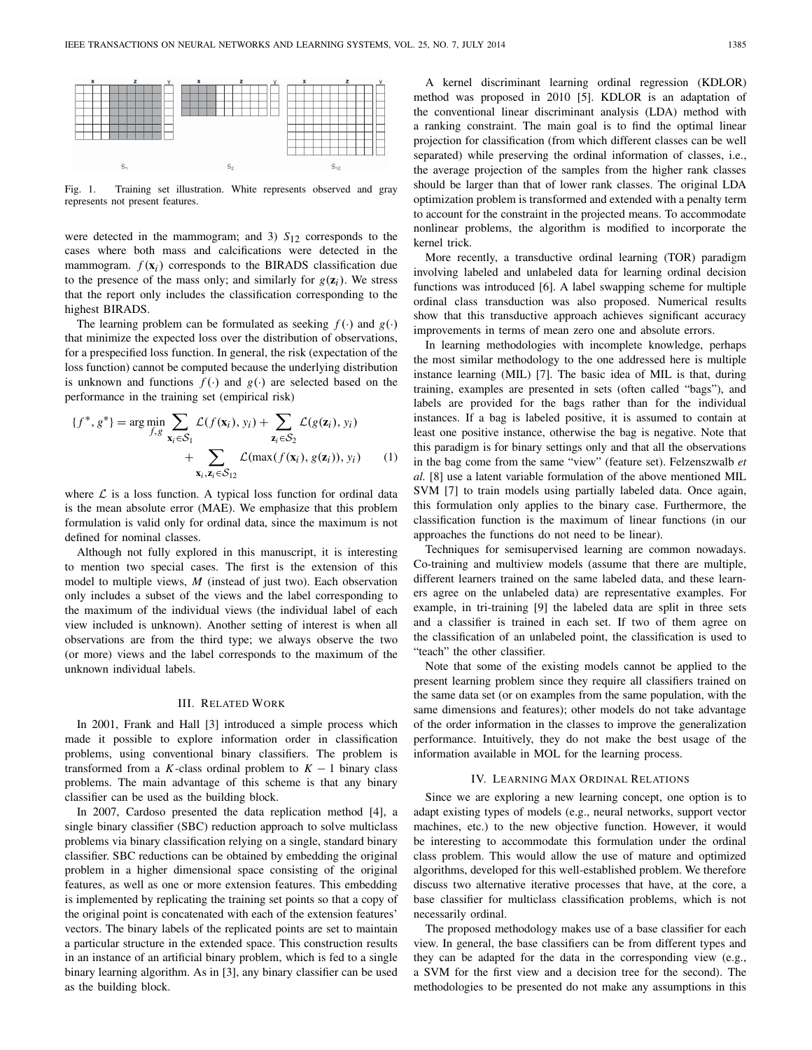

Fig. 1. Training set illustration. White represents observed and gray represents not present features.

were detected in the mammogram; and 3)  $S_{12}$  corresponds to the cases where both mass and calcifications were detected in the mammogram.  $f(\mathbf{x}_i)$  corresponds to the BIRADS classification due to the presence of the mass only; and similarly for  $g(\mathbf{z}_i)$ . We stress that the report only includes the classification corresponding to the highest BIRADS.

The learning problem can be formulated as seeking  $f(\cdot)$  and  $g(\cdot)$ that minimize the expected loss over the distribution of observations, for a prespecified loss function. In general, the risk (expectation of the loss function) cannot be computed because the underlying distribution is unknown and functions  $f(\cdot)$  and  $g(\cdot)$  are selected based on the performance in the training set (empirical risk)

$$
\{f^*, g^*\} = \arg\min_{f,g} \sum_{\mathbf{x}_i \in \mathcal{S}_1} \mathcal{L}(f(\mathbf{x}_i), y_i) + \sum_{\mathbf{z}_i \in \mathcal{S}_2} \mathcal{L}(g(\mathbf{z}_i), y_i) + \sum_{\mathbf{x}_i, \mathbf{z}_i \in \mathcal{S}_{12}} \mathcal{L}(\max(f(\mathbf{x}_i), g(\mathbf{z}_i)), y_i) \tag{1}
$$

where  $L$  is a loss function. A typical loss function for ordinal data is the mean absolute error (MAE). We emphasize that this problem formulation is valid only for ordinal data, since the maximum is not defined for nominal classes.

Although not fully explored in this manuscript, it is interesting to mention two special cases. The first is the extension of this model to multiple views, *M* (instead of just two). Each observation only includes a subset of the views and the label corresponding to the maximum of the individual views (the individual label of each view included is unknown). Another setting of interest is when all observations are from the third type; we always observe the two (or more) views and the label corresponds to the maximum of the unknown individual labels.

## III. RELATED WORK

In 2001, Frank and Hall [3] introduced a simple process which made it possible to explore information order in classification problems, using conventional binary classifiers. The problem is transformed from a *K*-class ordinal problem to  $K - 1$  binary class problems. The main advantage of this scheme is that any binary classifier can be used as the building block.

In 2007, Cardoso presented the data replication method [4], a single binary classifier (SBC) reduction approach to solve multiclass problems via binary classification relying on a single, standard binary classifier. SBC reductions can be obtained by embedding the original problem in a higher dimensional space consisting of the original features, as well as one or more extension features. This embedding is implemented by replicating the training set points so that a copy of the original point is concatenated with each of the extension features' vectors. The binary labels of the replicated points are set to maintain a particular structure in the extended space. This construction results in an instance of an artificial binary problem, which is fed to a single binary learning algorithm. As in [3], any binary classifier can be used as the building block.

A kernel discriminant learning ordinal regression (KDLOR) method was proposed in 2010 [5]. KDLOR is an adaptation of the conventional linear discriminant analysis (LDA) method with a ranking constraint. The main goal is to find the optimal linear projection for classification (from which different classes can be well separated) while preserving the ordinal information of classes, i.e., the average projection of the samples from the higher rank classes should be larger than that of lower rank classes. The original LDA optimization problem is transformed and extended with a penalty term to account for the constraint in the projected means. To accommodate nonlinear problems, the algorithm is modified to incorporate the kernel trick.

More recently, a transductive ordinal learning (TOR) paradigm involving labeled and unlabeled data for learning ordinal decision functions was introduced [6]. A label swapping scheme for multiple ordinal class transduction was also proposed. Numerical results show that this transductive approach achieves significant accuracy improvements in terms of mean zero one and absolute errors.

In learning methodologies with incomplete knowledge, perhaps the most similar methodology to the one addressed here is multiple instance learning (MIL) [7]. The basic idea of MIL is that, during training, examples are presented in sets (often called "bags"), and labels are provided for the bags rather than for the individual instances. If a bag is labeled positive, it is assumed to contain at least one positive instance, otherwise the bag is negative. Note that this paradigm is for binary settings only and that all the observations in the bag come from the same "view" (feature set). Felzenszwalb *et al.* [8] use a latent variable formulation of the above mentioned MIL SVM [7] to train models using partially labeled data. Once again, this formulation only applies to the binary case. Furthermore, the classification function is the maximum of linear functions (in our approaches the functions do not need to be linear).

Techniques for semisupervised learning are common nowadays. Co-training and multiview models (assume that there are multiple, different learners trained on the same labeled data, and these learners agree on the unlabeled data) are representative examples. For example, in tri-training [9] the labeled data are split in three sets and a classifier is trained in each set. If two of them agree on the classification of an unlabeled point, the classification is used to "teach" the other classifier.

Note that some of the existing models cannot be applied to the present learning problem since they require all classifiers trained on the same data set (or on examples from the same population, with the same dimensions and features); other models do not take advantage of the order information in the classes to improve the generalization performance. Intuitively, they do not make the best usage of the information available in MOL for the learning process.

## IV. LEARNING MAX ORDINAL RELATIONS

Since we are exploring a new learning concept, one option is to adapt existing types of models (e.g., neural networks, support vector machines, etc.) to the new objective function. However, it would be interesting to accommodate this formulation under the ordinal class problem. This would allow the use of mature and optimized algorithms, developed for this well-established problem. We therefore discuss two alternative iterative processes that have, at the core, a base classifier for multiclass classification problems, which is not necessarily ordinal.

The proposed methodology makes use of a base classifier for each view. In general, the base classifiers can be from different types and they can be adapted for the data in the corresponding view (e.g., a SVM for the first view and a decision tree for the second). The methodologies to be presented do not make any assumptions in this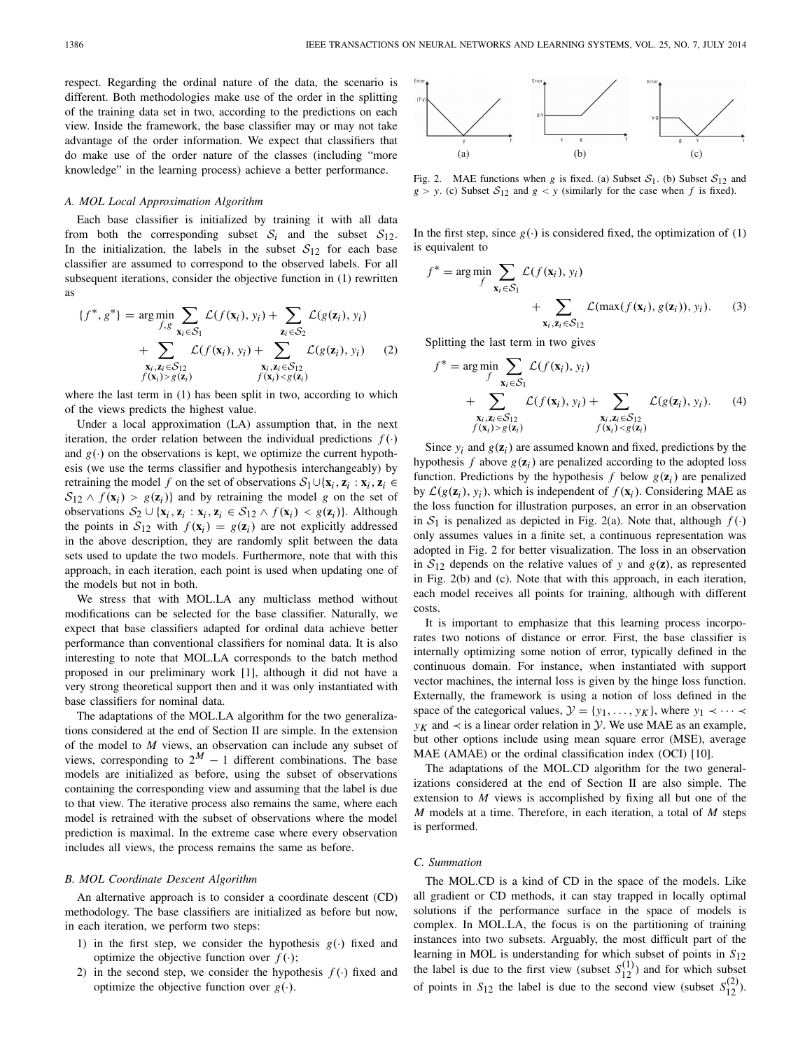respect. Regarding the ordinal nature of the data, the scenario is different. Both methodologies make use of the order in the splitting of the training data set in two, according to the predictions on each view. Inside the framework, the base classifier may or may not take advantage of the order information. We expect that classifiers that do make use of the order nature of the classes (including "more knowledge" in the learning process) achieve a better performance.

# *A. MOL Local Approximation Algorithm*

Each base classifier is initialized by training it with all data from both the corresponding subset  $S_i$  and the subset  $S_{12}$ . In the initialization, the labels in the subset  $S_{12}$  for each base classifier are assumed to correspond to the observed labels. For all subsequent iterations, consider the objective function in (1) rewritten as

$$
\{f^*, g^*\} = \arg\min_{f,g} \sum_{\mathbf{x}_i \in \mathcal{S}_1} \mathcal{L}(f(\mathbf{x}_i), y_i) + \sum_{\mathbf{z}_i \in \mathcal{S}_2} \mathcal{L}(g(\mathbf{z}_i), y_i)
$$
  
+ 
$$
\sum_{\mathbf{x}_i, \mathbf{z}_i \in \mathcal{S}_{12}} \mathcal{L}(f(\mathbf{x}_i), y_i) + \sum_{\mathbf{x}_i, \mathbf{z}_i \in \mathcal{S}_{12}} \mathcal{L}(g(\mathbf{z}_i), y_i)
$$
(2)  

$$
f(\mathbf{x}_i) > g(\mathbf{z}_i)
$$

where the last term in (1) has been split in two, according to which of the views predicts the highest value.

Under a local approximation (LA) assumption that, in the next iteration, the order relation between the individual predictions  $f(\cdot)$ and  $g(\cdot)$  on the observations is kept, we optimize the current hypothesis (we use the terms classifier and hypothesis interchangeably) by retraining the model *f* on the set of observations  $S_1 \cup {\mathbf{x}_i, \mathbf{z}_i : \mathbf{x}_i, \mathbf{z}_i \in \mathbb{R}^d}$  $S_{12} \wedge f(\mathbf{x}_i) > g(\mathbf{z}_i)$  and by retraining the model *g* on the set of observations  $S_2 \cup \{x_i, z_i : x_i, z_i \in S_{12} \land f(x_i) < g(z_i)\}\)$ . Although the points in  $S_{12}$  with  $f(\mathbf{x}_i) = g(\mathbf{z}_i)$  are not explicitly addressed in the above description, they are randomly split between the data sets used to update the two models. Furthermore, note that with this approach, in each iteration, each point is used when updating one of the models but not in both.

We stress that with MOL.LA any multiclass method without modifications can be selected for the base classifier. Naturally, we expect that base classifiers adapted for ordinal data achieve better performance than conventional classifiers for nominal data. It is also interesting to note that MOL.LA corresponds to the batch method proposed in our preliminary work [1], although it did not have a very strong theoretical support then and it was only instantiated with base classifiers for nominal data.

The adaptations of the MOL.LA algorithm for the two generalizations considered at the end of Section II are simple. In the extension of the model to *M* views, an observation can include any subset of views, corresponding to  $2^M - 1$  different combinations. The base models are initialized as before, using the subset of observations containing the corresponding view and assuming that the label is due to that view. The iterative process also remains the same, where each model is retrained with the subset of observations where the model prediction is maximal. In the extreme case where every observation includes all views, the process remains the same as before.

## *B. MOL Coordinate Descent Algorithm*

An alternative approach is to consider a coordinate descent (CD) methodology. The base classifiers are initialized as before but now, in each iteration, we perform two steps:

- 1) in the first step, we consider the hypothesis  $g(\cdot)$  fixed and optimize the objective function over  $f(\cdot)$ ;
- 2) in the second step, we consider the hypothesis  $f(.)$  fixed and optimize the objective function over  $g(\cdot)$ .



Fig. 2. MAE functions when *g* is fixed. (a) Subset  $S_1$ . (b) Subset  $S_{12}$  and  $g > y$ . (c) Subset  $S_{12}$  and  $g < y$  (similarly for the case when *f* is fixed).

In the first step, since  $g(\cdot)$  is considered fixed, the optimization of (1) is equivalent to

$$
f^* = \arg\min_{f} \sum_{\mathbf{x}_i \in \mathcal{S}_1} \mathcal{L}(f(\mathbf{x}_i), y_i) + \sum_{\mathbf{x}_i, \mathbf{z}_i \in \mathcal{S}_{12}} \mathcal{L}(\max(f(\mathbf{x}_i), g(\mathbf{z}_i)), y_i). \tag{3}
$$

Splitting the last term in two gives

$$
f^* = \arg\min_{f} \sum_{\mathbf{x}_i \in \mathcal{S}_1} \mathcal{L}(f(\mathbf{x}_i), y_i)
$$
  
+ 
$$
\sum_{\substack{\mathbf{x}_i, \mathbf{z}_i \in \mathcal{S}_{12} \\ f(\mathbf{x}_i) > g(\mathbf{z}_i)}} \mathcal{L}(f(\mathbf{x}_i), y_i) + \sum_{\substack{\mathbf{x}_i, \mathbf{z}_i \in \mathcal{S}_{12} \\ f(\mathbf{x}_i) < g(\mathbf{z}_i)}} \mathcal{L}(g(\mathbf{z}_i), y_i). \tag{4}
$$

Since  $y_i$  and  $g(\mathbf{z}_i)$  are assumed known and fixed, predictions by the hypothesis *f* above  $g(\mathbf{z}_i)$  are penalized according to the adopted loss function. Predictions by the hypothesis  $f$  below  $g(\mathbf{z}_i)$  are penalized by  $\mathcal{L}(g(\mathbf{z}_i), y_i)$ , which is independent of  $f(\mathbf{x}_i)$ . Considering MAE as the loss function for illustration purposes, an error in an observation in  $S_1$  is penalized as depicted in Fig. 2(a). Note that, although  $f(.)$ only assumes values in a finite set, a continuous representation was adopted in Fig. 2 for better visualization. The loss in an observation in  $S_{12}$  depends on the relative values of *y* and  $g(z)$ , as represented in Fig. 2(b) and (c). Note that with this approach, in each iteration, each model receives all points for training, although with different costs.

It is important to emphasize that this learning process incorporates two notions of distance or error. First, the base classifier is internally optimizing some notion of error, typically defined in the continuous domain. For instance, when instantiated with support vector machines, the internal loss is given by the hinge loss function. Externally, the framework is using a notion of loss defined in the space of the categorical values,  $\mathcal{Y} = \{y_1, \ldots, y_K\}$ , where  $y_1 \prec \cdots \prec$ *y<sub>K</sub>* and  $\prec$  is a linear order relation in *Y*. We use MAE as an example, but other options include using mean square error (MSE), average MAE (AMAE) or the ordinal classification index (OCI) [10].

The adaptations of the MOL.CD algorithm for the two generalizations considered at the end of Section II are also simple. The extension to *M* views is accomplished by fixing all but one of the *M* models at a time. Therefore, in each iteration, a total of *M* steps is performed.

## *C. Summation*

The MOL.CD is a kind of CD in the space of the models. Like all gradient or CD methods, it can stay trapped in locally optimal solutions if the performance surface in the space of models is complex. In MOL.LA, the focus is on the partitioning of training instances into two subsets. Arguably, the most difficult part of the learning in MOL is understanding for which subset of points in *S*12 the label is due to the first view (subset  $S_{12}^{(1)}$ ) and for which subset of points in  $S_{12}$  the label is due to the second view (subset  $S_{12}^{(2)}$ ).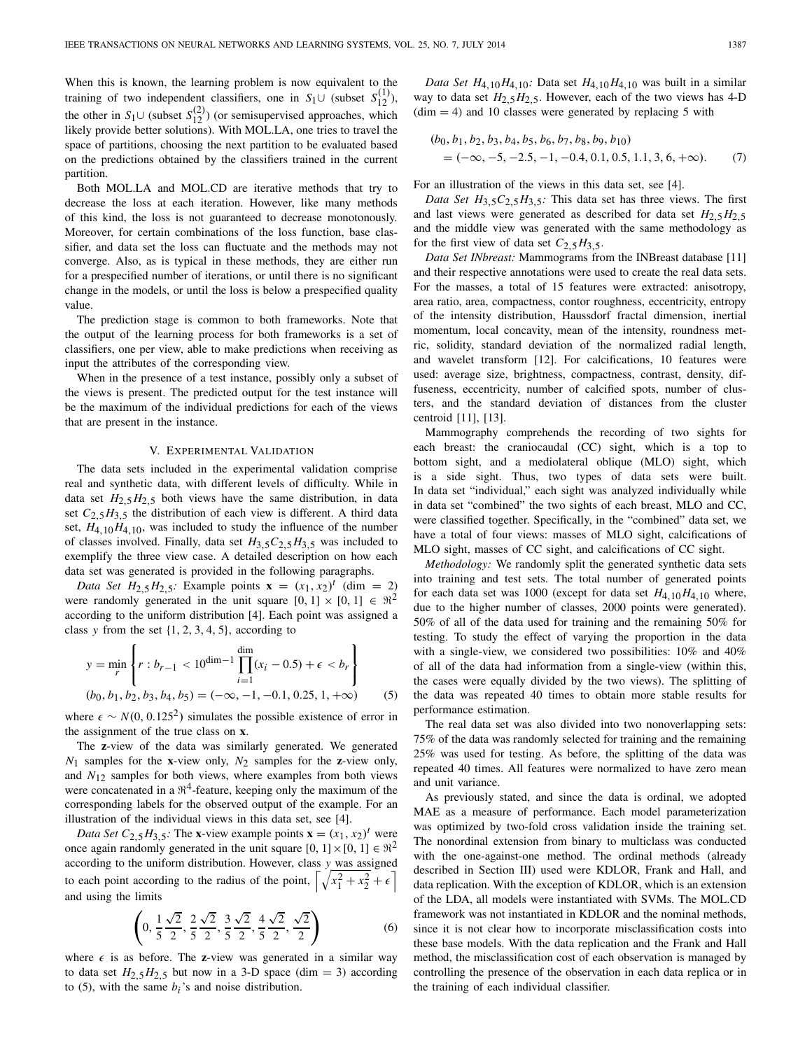When this is known, the learning problem is now equivalent to the training of two independent classifiers, one in *S*<sub>1</sub>∪ (subset *S*<sub>12</sub><sup>(1)</sup>), the other in  $S_1 \cup$  (subset  $S_{12}^{(2)}$ ) (or semisupervised approaches, which likely provide better solutions). With MOL.LA, one tries to travel the space of partitions, choosing the next partition to be evaluated based on the predictions obtained by the classifiers trained in the current partition.

Both MOL.LA and MOL.CD are iterative methods that try to decrease the loss at each iteration. However, like many methods of this kind, the loss is not guaranteed to decrease monotonously. Moreover, for certain combinations of the loss function, base classifier, and data set the loss can fluctuate and the methods may not converge. Also, as is typical in these methods, they are either run for a prespecified number of iterations, or until there is no significant change in the models, or until the loss is below a prespecified quality value.

The prediction stage is common to both frameworks. Note that the output of the learning process for both frameworks is a set of classifiers, one per view, able to make predictions when receiving as input the attributes of the corresponding view.

When in the presence of a test instance, possibly only a subset of the views is present. The predicted output for the test instance will be the maximum of the individual predictions for each of the views that are present in the instance.

### V. EXPERIMENTAL VALIDATION

The data sets included in the experimental validation comprise real and synthetic data, with different levels of difficulty. While in data set  $H_2$ <sub>5</sub> $H_2$ <sub>5</sub> both views have the same distribution, in data set  $C_{2.5}H_{3.5}$  the distribution of each view is different. A third data set,  $H_{4,10}H_{4,10}$ , was included to study the influence of the number of classes involved. Finally, data set  $H_{3,5}C_{2,5}H_{3,5}$  was included to exemplify the three view case. A detailed description on how each data set was generated is provided in the following paragraphs.

*Data Set H*<sub>2,5</sub>*H*<sub>2,5</sub>*:* Example points  $\mathbf{x} = (x_1, x_2)^t$  (dim = 2) were randomly generated in the unit square  $[0, 1] \times [0, 1] \in \mathbb{R}^2$ according to the uniform distribution [4]. Each point was assigned a class  $\gamma$  from the set  $\{1, 2, 3, 4, 5\}$ , according to

$$
y = \min_{r} \left\{ r : b_{r-1} < 10^{\dim -1} \prod_{i=1}^{\dim} (x_i - 0.5) + \epsilon < b_r \right\}
$$
\n
$$
(b_0, b_1, b_2, b_3, b_4, b_5) = (-\infty, -1, -0.1, 0.25, 1, +\infty) \tag{5}
$$

where  $\epsilon \sim N(0, 0.125^2)$  simulates the possible existence of error in the assignment of the true class on **x**.

The **z**-view of the data was similarly generated. We generated  $N_1$  samples for the **x**-view only,  $N_2$  samples for the **z**-view only, and *N*12 samples for both views, where examples from both views were concatenated in a  $\mathbb{R}^4$ -feature, keeping only the maximum of the corresponding labels for the observed output of the example. For an illustration of the individual views in this data set, see [4].

*Data Set*  $C_{2,5}H_{3,5}$ *:* The **x**-view example points  $\mathbf{x} = (x_1, x_2)^t$  were once again randomly generated in the unit square [0, 1] × [0, 1]  $\in \mathbb{R}^2$ according to the uniform distribution. However, class *y* was assigned to each point according to the radius of the point,  $\left[\sqrt{x_1^2 + x_2^2} + \epsilon\right]$ and using the limits

$$
\left(0, \frac{1}{5}, \frac{\sqrt{2}}{2}, \frac{2}{5}, \frac{\sqrt{2}}{2}, \frac{3}{5}, \frac{\sqrt{2}}{2}, \frac{4}{5}, \frac{\sqrt{2}}{2}, \frac{\sqrt{2}}{2}\right) \tag{6}
$$

where  $\epsilon$  is as before. The **z**-view was generated in a similar way to data set  $H_{2,5}H_{2,5}$  but now in a 3-D space (dim = 3) according to (5), with the same  $b_i$ 's and noise distribution.

*Data Set H*<sub>4,10</sub>*H*<sub>4,10</sub>*:* Data set *H*<sub>4,10</sub>*H*<sub>4,10</sub> was built in a similar way to data set  $H_2$ ,  $H_2$ , 5. However, each of the two views has 4-D  $(\text{dim} = 4)$  and 10 classes were generated by replacing 5 with

$$
(b_0, b_1, b_2, b_3, b_4, b_5, b_6, b_7, b_8, b_9, b_{10})
$$
  
= (- $\infty$ , -5, -2.5, -1, -0.4, 0.1, 0.5, 1.1, 3, 6, + $\infty$ ). (7)

For an illustration of the views in this data set, see [4].

*Data Set H*<sub>3</sub>,  $5C_2$ ,  $5H_3$ ,  $5$ *:* This data set has three views. The first and last views were generated as described for data set  $H_{2.5}H_{2.5}$ and the middle view was generated with the same methodology as for the first view of data set  $C_{2,5}H_{3,5}$ .

*Data Set INbreast:* Mammograms from the INBreast database [11] and their respective annotations were used to create the real data sets. For the masses, a total of 15 features were extracted: anisotropy, area ratio, area, compactness, contor roughness, eccentricity, entropy of the intensity distribution, Haussdorf fractal dimension, inertial momentum, local concavity, mean of the intensity, roundness metric, solidity, standard deviation of the normalized radial length, and wavelet transform [12]. For calcifications, 10 features were used: average size, brightness, compactness, contrast, density, diffuseness, eccentricity, number of calcified spots, number of clusters, and the standard deviation of distances from the cluster centroid [11], [13].

Mammography comprehends the recording of two sights for each breast: the craniocaudal (CC) sight, which is a top to bottom sight, and a mediolateral oblique (MLO) sight, which is a side sight. Thus, two types of data sets were built. In data set "individual," each sight was analyzed individually while in data set "combined" the two sights of each breast, MLO and CC, were classified together. Specifically, in the "combined" data set, we have a total of four views: masses of MLO sight, calcifications of MLO sight, masses of CC sight, and calcifications of CC sight.

*Methodology:* We randomly split the generated synthetic data sets into training and test sets. The total number of generated points for each data set was 1000 (except for data set *H*4,10*H*4,10 where, due to the higher number of classes, 2000 points were generated). 50% of all of the data used for training and the remaining 50% for testing. To study the effect of varying the proportion in the data with a single-view, we considered two possibilities: 10% and 40% of all of the data had information from a single-view (within this, the cases were equally divided by the two views). The splitting of the data was repeated 40 times to obtain more stable results for performance estimation.

The real data set was also divided into two nonoverlapping sets: 75% of the data was randomly selected for training and the remaining 25% was used for testing. As before, the splitting of the data was repeated 40 times. All features were normalized to have zero mean and unit variance.

As previously stated, and since the data is ordinal, we adopted MAE as a measure of performance. Each model parameterization was optimized by two-fold cross validation inside the training set. The nonordinal extension from binary to multiclass was conducted with the one-against-one method. The ordinal methods (already described in Section III) used were KDLOR, Frank and Hall, and data replication. With the exception of KDLOR, which is an extension of the LDA, all models were instantiated with SVMs. The MOL.CD framework was not instantiated in KDLOR and the nominal methods, since it is not clear how to incorporate misclassification costs into these base models. With the data replication and the Frank and Hall method, the misclassification cost of each observation is managed by controlling the presence of the observation in each data replica or in the training of each individual classifier.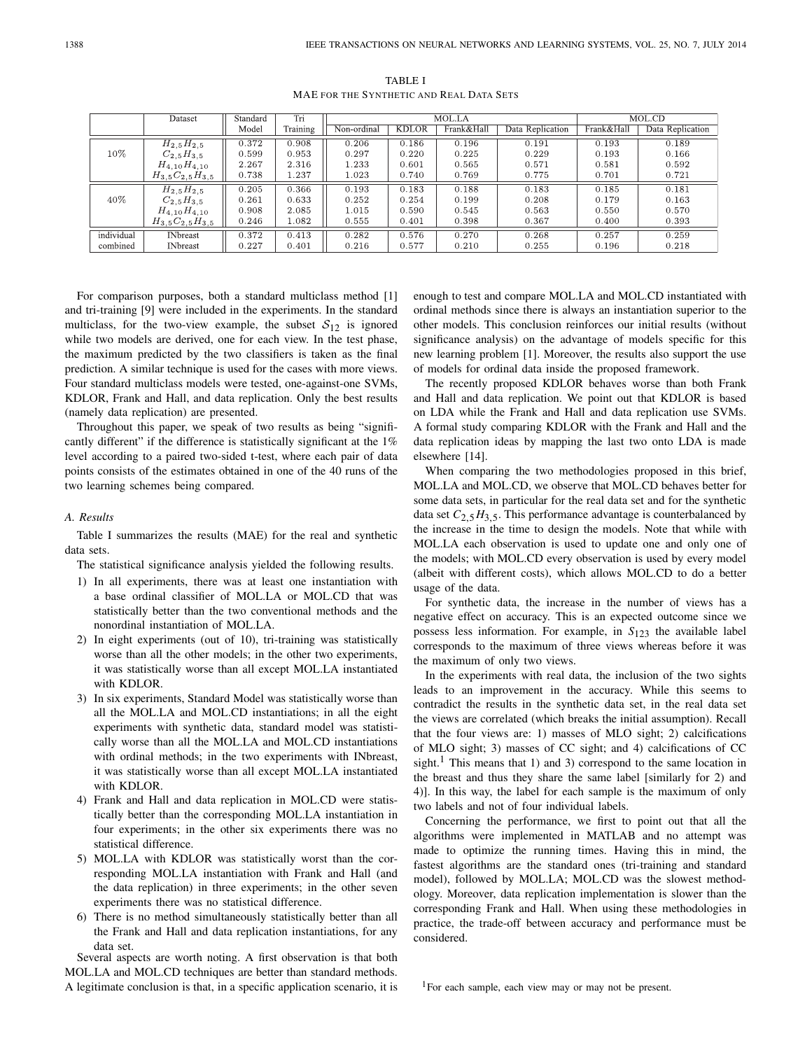|            | Dataset                 | Standard | Tri      | MOL.LA      |              |            |                  | MOL.CD     |                  |
|------------|-------------------------|----------|----------|-------------|--------------|------------|------------------|------------|------------------|
|            |                         | Model    | Training | Non-ordinal | <b>KDLOR</b> | Frank&Hall | Data Replication | Frank&Hall | Data Replication |
|            | $H_{2.5}H_{2.5}$        | 0.372    | 0.908    | 0.206       | 0.186        | 0.196      | 0.191            | 0.193      | 0.189            |
| 10%        | $C_{2,5}H_{3,5}$        | 0.599    | 0.953    | 0.297       | 0.220        | 0.225      | 0.229            | 0.193      | 0.166            |
|            | $H_{4,10}H_{4,10}$      | 2.267    | 2.316    | 1.233       | 0.601        | 0.565      | 0.571            | 0.581      | 0.592            |
|            | $H_{3,5}C_{2,5}H_{3,5}$ | 0.738    | 1.237    | 1.023       | 0.740        | 0.769      | 0.775            | 0.701      | 0.721            |
|            | $H_{2,5}H_{2,5}$        | 0.205    | 0.366    | 0.193       | 0.183        | 0.188      | 0.183            | 0.185      | 0.181            |
| 40%        | $C_{2,5}H_{3,5}$        | 0.261    | 0.633    | 0.252       | 0.254        | 0.199      | 0.208            | 0.179      | 0.163            |
|            | $H_{4,10}H_{4,10}$      | 0.908    | 2.085    | 1.015       | 0.590        | 0.545      | 0.563            | 0.550      | 0.570            |
|            | $H_{3,5}C_{2,5}H_{3,5}$ | 0.246    | 1.082    | 0.555       | 0.401        | 0.398      | 0.367            | 0.400      | 0.393            |
| individual | <b>INbreast</b>         | 0.372    | 0.413    | 0.282       | 0.576        | 0.270      | 0.268            | 0.257      | 0.259            |
| combined   | <b>INbreast</b>         | 0.227    | 0.401    | 0.216       | 0.577        | 0.210      | 0.255            | 0.196      | 0.218            |

TABLE I MAE FOR THE SYNTHETIC AND REAL DATA SETS

For comparison purposes, both a standard multiclass method [1] and tri-training [9] were included in the experiments. In the standard multiclass, for the two-view example, the subset  $S_{12}$  is ignored while two models are derived, one for each view. In the test phase, the maximum predicted by the two classifiers is taken as the final prediction. A similar technique is used for the cases with more views. Four standard multiclass models were tested, one-against-one SVMs, KDLOR, Frank and Hall, and data replication. Only the best results (namely data replication) are presented.

Throughout this paper, we speak of two results as being "significantly different" if the difference is statistically significant at the 1% level according to a paired two-sided t-test, where each pair of data points consists of the estimates obtained in one of the 40 runs of the two learning schemes being compared.

# *A. Results*

Table I summarizes the results (MAE) for the real and synthetic data sets.

The statistical significance analysis yielded the following results.

- 1) In all experiments, there was at least one instantiation with a base ordinal classifier of MOL.LA or MOL.CD that was statistically better than the two conventional methods and the nonordinal instantiation of MOL.LA.
- 2) In eight experiments (out of 10), tri-training was statistically worse than all the other models; in the other two experiments, it was statistically worse than all except MOL.LA instantiated with KDLOR.
- 3) In six experiments, Standard Model was statistically worse than all the MOL.LA and MOL.CD instantiations; in all the eight experiments with synthetic data, standard model was statistically worse than all the MOL.LA and MOL.CD instantiations with ordinal methods; in the two experiments with INbreast, it was statistically worse than all except MOL.LA instantiated with KDLOR.
- 4) Frank and Hall and data replication in MOL.CD were statistically better than the corresponding MOL.LA instantiation in four experiments; in the other six experiments there was no statistical difference.
- 5) MOL.LA with KDLOR was statistically worst than the corresponding MOL.LA instantiation with Frank and Hall (and the data replication) in three experiments; in the other seven experiments there was no statistical difference.
- 6) There is no method simultaneously statistically better than all the Frank and Hall and data replication instantiations, for any data set.

Several aspects are worth noting. A first observation is that both MOL.LA and MOL.CD techniques are better than standard methods. A legitimate conclusion is that, in a specific application scenario, it is enough to test and compare MOL.LA and MOL.CD instantiated with ordinal methods since there is always an instantiation superior to the other models. This conclusion reinforces our initial results (without significance analysis) on the advantage of models specific for this new learning problem [1]. Moreover, the results also support the use of models for ordinal data inside the proposed framework.

The recently proposed KDLOR behaves worse than both Frank and Hall and data replication. We point out that KDLOR is based on LDA while the Frank and Hall and data replication use SVMs. A formal study comparing KDLOR with the Frank and Hall and the data replication ideas by mapping the last two onto LDA is made elsewhere [14].

When comparing the two methodologies proposed in this brief, MOL.LA and MOL.CD, we observe that MOL.CD behaves better for some data sets, in particular for the real data set and for the synthetic data set  $C_{2,5}H_{3,5}$ . This performance advantage is counterbalanced by the increase in the time to design the models. Note that while with MOL.LA each observation is used to update one and only one of the models; with MOL.CD every observation is used by every model (albeit with different costs), which allows MOL.CD to do a better usage of the data.

For synthetic data, the increase in the number of views has a negative effect on accuracy. This is an expected outcome since we possess less information. For example, in *S*123 the available label corresponds to the maximum of three views whereas before it was the maximum of only two views.

In the experiments with real data, the inclusion of the two sights leads to an improvement in the accuracy. While this seems to contradict the results in the synthetic data set, in the real data set the views are correlated (which breaks the initial assumption). Recall that the four views are: 1) masses of MLO sight; 2) calcifications of MLO sight; 3) masses of CC sight; and 4) calcifications of CC sight.<sup>1</sup> This means that 1) and 3) correspond to the same location in the breast and thus they share the same label [similarly for 2) and 4)]. In this way, the label for each sample is the maximum of only two labels and not of four individual labels.

Concerning the performance, we first to point out that all the algorithms were implemented in MATLAB and no attempt was made to optimize the running times. Having this in mind, the fastest algorithms are the standard ones (tri-training and standard model), followed by MOL.LA; MOL.CD was the slowest methodology. Moreover, data replication implementation is slower than the corresponding Frank and Hall. When using these methodologies in practice, the trade-off between accuracy and performance must be considered.

1For each sample, each view may or may not be present.